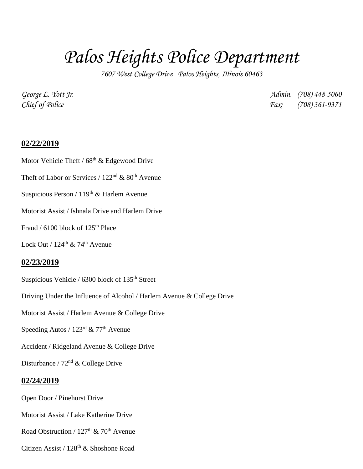# *Palos Heights Police Department*

*7607 West College Drive Palos Heights, Illinois 60463*

*George L. Yott Jr. Admin. (708) 448-5060 Chief of Police Fax: (708) 361-9371*

### **02/22/2019**

- Motor Vehicle Theft /  $68<sup>th</sup>$  & Edgewood Drive
- Theft of Labor or Services /  $122<sup>nd</sup>$  &  $80<sup>th</sup>$  Avenue
- Suspicious Person /  $119<sup>th</sup>$  & Harlem Avenue
- Motorist Assist / Ishnala Drive and Harlem Drive
- Fraud /  $6100$  block of  $125<sup>th</sup>$  Place
- Lock Out /  $124^{\text{th}}$  & 74<sup>th</sup> Avenue

#### **02/23/2019**

- Suspicious Vehicle /  $6300$  block of  $135<sup>th</sup>$  Street
- Driving Under the Influence of Alcohol / Harlem Avenue & College Drive
- Motorist Assist / Harlem Avenue & College Drive
- Speeding Autos /  $123^{\text{rd}}$  &  $77^{\text{th}}$  Avenue
- Accident / Ridgeland Avenue & College Drive
- Disturbance /  $72<sup>nd</sup>$  & College Drive

#### **02/24/2019**

- Open Door / Pinehurst Drive
- Motorist Assist / Lake Katherine Drive
- Road Obstruction /  $127<sup>th</sup>$  &  $70<sup>th</sup>$  Avenue
- Citizen Assist / 128th & Shoshone Road